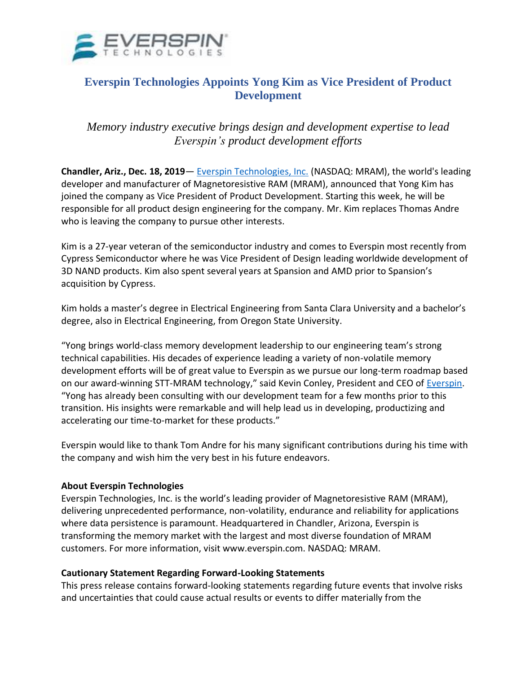

## **Everspin Technologies Appoints Yong Kim as Vice President of Product Development**

*Memory industry executive brings design and development expertise to lead Everspin's product development efforts*

**Chandler, Ariz., Dec. 18, 2019**— [Everspin Technologies, Inc.](https://www.everspin.com/) (NASDAQ: MRAM), the world's leading developer and manufacturer of Magnetoresistive RAM (MRAM), announced that Yong Kim has joined the company as Vice President of Product Development. Starting this week, he will be responsible for all product design engineering for the company. Mr. Kim replaces Thomas Andre who is leaving the company to pursue other interests.

Kim is a 27-year veteran of the semiconductor industry and comes to Everspin most recently from Cypress Semiconductor where he was Vice President of Design leading worldwide development of 3D NAND products. Kim also spent several years at Spansion and AMD prior to Spansion's acquisition by Cypress.

Kim holds a master's degree in Electrical Engineering from Santa Clara University and a bachelor's degree, also in Electrical Engineering, from Oregon State University.

"Yong brings world-class memory development leadership to our engineering team's strong technical capabilities. His decades of experience leading a variety of non-volatile memory development efforts will be of great value to Everspin as we pursue our long-term roadmap based on our award-winning STT-MRAM technology," said Kevin Conley, President and CEO of [Everspin.](https://www.everspin.com/) "Yong has already been consulting with our development team for a few months prior to this transition. His insights were remarkable and will help lead us in developing, productizing and accelerating our time-to-market for these products."

Everspin would like to thank Tom Andre for his many significant contributions during his time with the company and wish him the very best in his future endeavors.

## **About Everspin Technologies**

Everspin Technologies, Inc. is the world's leading provider of Magnetoresistive RAM (MRAM), delivering unprecedented performance, non-volatility, endurance and reliability for applications where data persistence is paramount. Headquartered in Chandler, Arizona, Everspin is transforming the memory market with the largest and most diverse foundation of MRAM customers. For more information, visit www.everspin.com. NASDAQ: MRAM.

## **Cautionary Statement Regarding Forward-Looking Statements**

This press release contains forward-looking statements regarding future events that involve risks and uncertainties that could cause actual results or events to differ materially from the